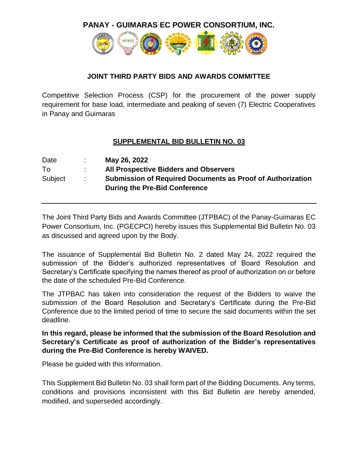**PANAY - GUIMARAS EC POWER CONSORTIUM, INC.**



## **JOINT THIRD PARTY BIDS AND AWARDS COMMITTEE**

Competitive Selection Process (CSP) for the procurement of the power supply requirement for base load, intermediate and peaking of seven (7) Electric Cooperatives in Panay and Guimaras

## **SUPPLEMENTAL BID BULLETIN NO. 03**

| Date    |    | May 26, 2022                                                                                       |
|---------|----|----------------------------------------------------------------------------------------------------|
| To      |    | <b>All Prospective Bidders and Observers</b>                                                       |
| Subject | ÷. | <b>Submission of Required Documents as Proof of Authorization</b><br>During the Pre-Bid Conference |

The Joint Third Party Bids and Awards Committee (JTPBAC) of the Panay-Guimaras EC Power Consortium, Inc. (PGECPCI) hereby issues this Supplemental Bid Bulletin No. 03 as discussed and agreed upon by the Body.

The issuance of Supplemental Bid Bulletin No. 2 dated May 24, 2022 required the submission of the Bidder's authorized representatives of Board Resolution and Secretary's Certificate specifying the names thereof as proof of authorization on or before the date of the scheduled Pre-Bid Conference.

The JTPBAC has taken into consideration the request of the Bidders to waive the submission of the Board Resolution and Secretary's Certificate during the Pre-Bid Conference due to the limited period of time to secure the said documents within the set deadline.

**In this regard, please be informed that the submission of the Board Resolution and Secretary's Certificate as proof of authorization of the Bidder's representatives during the Pre-Bid Conference is hereby WAIVED.**

Please be guided with this information.

This Supplement Bid Bulletin No. 03 shall form part of the Bidding Documents. Any terms, conditions and provisions inconsistent with this Bid Bulletin are hereby amended, modified, and superseded accordingly.